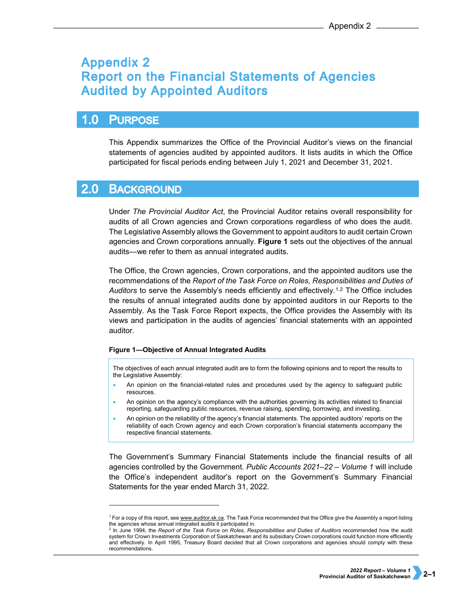## **Appendix 2 Report on the Financial Statements of Agencies Audited by Appointed Auditors**

### $1.0$ **PURPOSE**

This Appendix summarizes the Office of the Provincial Auditor's views on the financial statements of agencies audited by appointed auditors. It lists audits in which the Office participated for fiscal periods ending between July 1, 2021 and December 31, 2021.

#### **2.0 BACKGROUND**

-

Under *The Provincial Auditor Act*, the Provincial Auditor retains overall responsibility for audits of all Crown agencies and Crown corporations regardless of who does the audit. The Legislative Assembly allows the Government to appoint auditors to audit certain Crown agencies and Crown corporations annually. **Figure 1** sets out the objectives of the annual audits—we refer to them as annual integrated audits.

The Office, the Crown agencies, Crown corporations, and the appointed auditors use the recommendations of the *Report of the Task Force on Roles, Responsibilities and Duties of Auditors* to serve the Assembly's needs efficiently and effectively.[1,](#page-0-0)[2](#page-0-1) The Office includes the results of annual integrated audits done by appointed auditors in our Reports to the Assembly. As the Task Force Report expects, the Office provides the Assembly with its views and participation in the audits of agencies' financial statements with an appointed auditor.

## **Figure 1—Objective of Annual Integrated Audits**

The objectives of each annual integrated audit are to form the following opinions and to report the results to the Legislative Assembly:

- An opinion on the financial-related rules and procedures used by the agency to safeguard public resources.
- An opinion on the agency's compliance with the authorities governing its activities related to financial reporting, safeguarding public resources, revenue raising, spending, borrowing, and investing.
- An opinion on the reliability of the agency's financial statements. The appointed auditors' reports on the reliability of each Crown agency and each Crown corporation's financial statements accompany the respective financial statements.

The Government's Summary Financial Statements include the financial results of all agencies controlled by the Government. *Public Accounts 2021–22 – Volume 1* will include the Office's independent auditor's report on the Government's Summary Financial Statements for the year ended March 31, 2022.

<span id="page-0-0"></span><sup>&</sup>lt;sup>1</sup> For a copy of this report, se[e www.auditor.sk.ca.](http://www.auditor.sk.ca/) The Task Force recommended that the Office give the Assembly a report listing the agencies whose annual integrated audits it participated in.

<span id="page-0-1"></span><sup>2</sup> In June 1994, the *Report of the Task Force on Roles, Responsibilities and Duties of Auditors* recommended how the audit system for Crown Investments Corporation of Saskatchewan and its subsidiary Crown corporations could function more efficiently and effectively. In April 1995, Treasury Board decided that all Crown corporations and agencies should comply with these recommendations.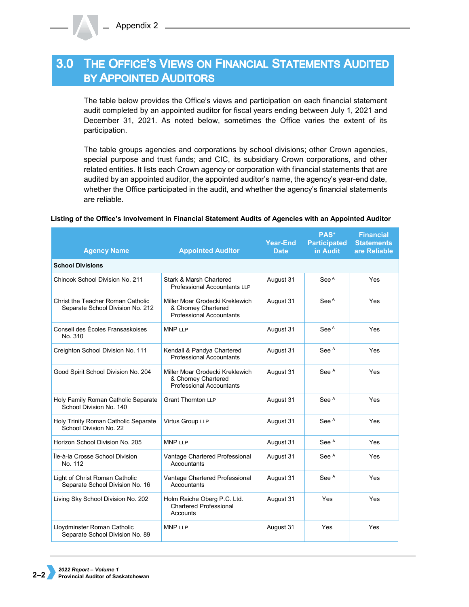# 3.0 THE OFFICE'S VIEWS ON FINANCIAL STATEMENTS AUDITED **BY APPOINTED AUDITORS**

The table below provides the Office's views and participation on each financial statement audit completed by an appointed auditor for fiscal years ending between July 1, 2021 and December 31, 2021. As noted below, sometimes the Office varies the extent of its participation.

The table groups agencies and corporations by school divisions; other Crown agencies, special purpose and trust funds; and CIC, its subsidiary Crown corporations, and other related entities. It lists each Crown agency or corporation with financial statements that are audited by an appointed auditor, the appointed auditor's name, the agency's year-end date, whether the Office participated in the audit, and whether the agency's financial statements are reliable.

### **Agency Name Appointed Auditor Year-End Date PAS\* Participated in Audit Financial Statements are Reliable School Divisions** Chinook School Division No. 211 Stark & Marsh Chartered Professional Accountants LLP August 31 | See A | Yes Christ the Teacher Roman Catholic Separate School Division No. 212 Miller Moar Grodecki Kreklewich & Chorney Chartered Professional Accountants August 31 | See A | Yes Conseil des Écoles Fransaskoises No. 310 MNP LLP **August 31** See A Yes Creighton School Division No. 111 | Kendall & Pandya Chartered Professional Accountants August 31 See A Yes Good Spirit School Division No. 204 | Miller Moar Grodecki Kreklewich & Chorney Chartered Professional Accountants August 31 | See A | Yes Holy Family Roman Catholic Separate School Division No. 140 Grant Thornton LLP **August 31** See A Yes Holy Trinity Roman Catholic Separate School Division No. 22 Virtus Group LLP **August 31** See A Yes Horizon School Division No. 205 | MNP LLP | August 31 | See A | Yes Île-à-la Crosse School Division No. 112 Vantage Chartered Professional **Accountants** August 31 See A | Yes Light of Christ Roman Catholic Separate School Division No. 16 Vantage Chartered Professional **Accountants** August 31 | See A | Yes Living Sky School Division No. 202 | Holm Raiche Oberg P.C. Ltd. Chartered Professional Accounts August 31 Yes Yes Lloydminster Roman Catholic Separate School Division No. 89 MNP LLP **August 31** Yes Yes

## **Listing of the Office's Involvement in Financial Statement Audits of Agencies with an Appointed Auditor**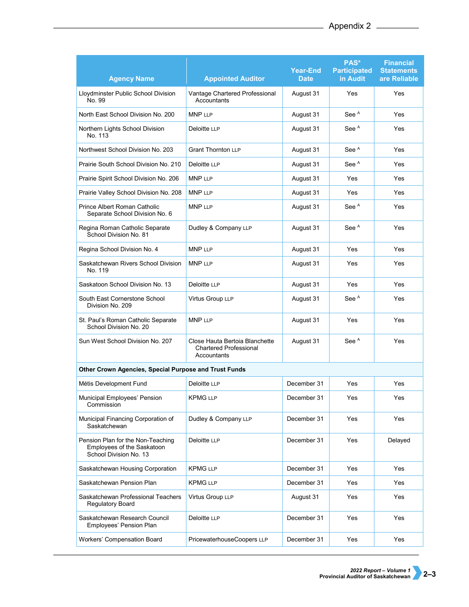| <b>Agency Name</b>                                                                        | <b>Appointed Auditor</b>                                                       | <b>Year-End</b><br><b>Date</b> | PAS*<br><b>Participated</b><br>in Audit | <b>Financial</b><br><b>Statements</b><br>are Reliable |  |  |  |
|-------------------------------------------------------------------------------------------|--------------------------------------------------------------------------------|--------------------------------|-----------------------------------------|-------------------------------------------------------|--|--|--|
| Lloydminster Public School Division<br>No. 99                                             | Vantage Chartered Professional<br>Accountants                                  | August 31                      | Yes                                     | Yes                                                   |  |  |  |
| North East School Division No. 200                                                        | <b>MNP LLP</b>                                                                 | August 31                      | See <sup>A</sup>                        | Yes                                                   |  |  |  |
| Northern Lights School Division<br>No. 113                                                | Deloitte LLP                                                                   | August 31                      | See <sup>A</sup>                        | Yes                                                   |  |  |  |
| Northwest School Division No. 203                                                         | <b>Grant Thornton LLP</b>                                                      | August 31                      | See <sup>A</sup>                        | Yes                                                   |  |  |  |
| Prairie South School Division No. 210                                                     | Deloitte LLP                                                                   | August 31                      | See <sup>A</sup>                        | Yes                                                   |  |  |  |
| Prairie Spirit School Division No. 206                                                    | <b>MNP LLP</b>                                                                 | August 31                      | Yes                                     | Yes                                                   |  |  |  |
| Prairie Valley School Division No. 208                                                    | <b>MNP LLP</b>                                                                 | August 31                      | Yes                                     | Yes                                                   |  |  |  |
| Prince Albert Roman Catholic<br>Separate School Division No. 6                            | <b>MNP LLP</b>                                                                 | August 31                      | See <sup>A</sup>                        | Yes                                                   |  |  |  |
| Regina Roman Catholic Separate<br>School Division No. 81                                  | Dudley & Company LLP                                                           | August 31                      | See <sup>A</sup>                        | Yes                                                   |  |  |  |
| Regina School Division No. 4                                                              | <b>MNP LLP</b>                                                                 | August 31                      | Yes                                     | Yes                                                   |  |  |  |
| Saskatchewan Rivers School Division<br>No. 119                                            | <b>MNP LLP</b>                                                                 | August 31                      | Yes                                     | Yes                                                   |  |  |  |
| Saskatoon School Division No. 13                                                          | Deloitte LLP                                                                   | August 31                      | Yes                                     | Yes                                                   |  |  |  |
| South East Cornerstone School<br>Division No. 209                                         | Virtus Group LLP                                                               | August 31                      | See <sup>A</sup>                        | Yes                                                   |  |  |  |
| St. Paul's Roman Catholic Separate<br>School Division No. 20                              | <b>MNP LLP</b>                                                                 | August 31                      | Yes                                     | Yes                                                   |  |  |  |
| Sun West School Division No. 207                                                          | Close Hauta Bertoia Blanchette<br><b>Chartered Professional</b><br>Accountants | August 31                      | See <sup>A</sup>                        | Yes                                                   |  |  |  |
| Other Crown Agencies, Special Purpose and Trust Funds                                     |                                                                                |                                |                                         |                                                       |  |  |  |
| Métis Development Fund                                                                    | Deloitte LLP                                                                   | December 31                    | Yes                                     | Yes                                                   |  |  |  |
| Municipal Employees' Pension<br>Commission                                                | <b>KPMG LLP</b>                                                                | December 31                    | Yes                                     | Yes                                                   |  |  |  |
| Municipal Financing Corporation of<br>Saskatchewan                                        | Dudley & Company LLP                                                           | December 31                    | Yes                                     | Yes                                                   |  |  |  |
| Pension Plan for the Non-Teaching<br>Employees of the Saskatoon<br>School Division No. 13 | Deloitte LLP                                                                   | December 31                    | Yes                                     | Delayed                                               |  |  |  |
| Saskatchewan Housing Corporation                                                          | <b>KPMG LLP</b>                                                                | December 31                    | Yes                                     | Yes                                                   |  |  |  |
| Saskatchewan Pension Plan                                                                 | <b>KPMG LLP</b>                                                                | December 31                    | Yes                                     | Yes                                                   |  |  |  |
| Saskatchewan Professional Teachers<br><b>Regulatory Board</b>                             | Virtus Group LLP                                                               | August 31                      | Yes                                     | Yes                                                   |  |  |  |
| Saskatchewan Research Council<br>Employees' Pension Plan                                  | Deloitte LLP                                                                   | December 31                    | Yes                                     | Yes                                                   |  |  |  |
| Workers' Compensation Board                                                               | PricewaterhouseCoopers LLP                                                     | December 31                    | Yes                                     | Yes                                                   |  |  |  |